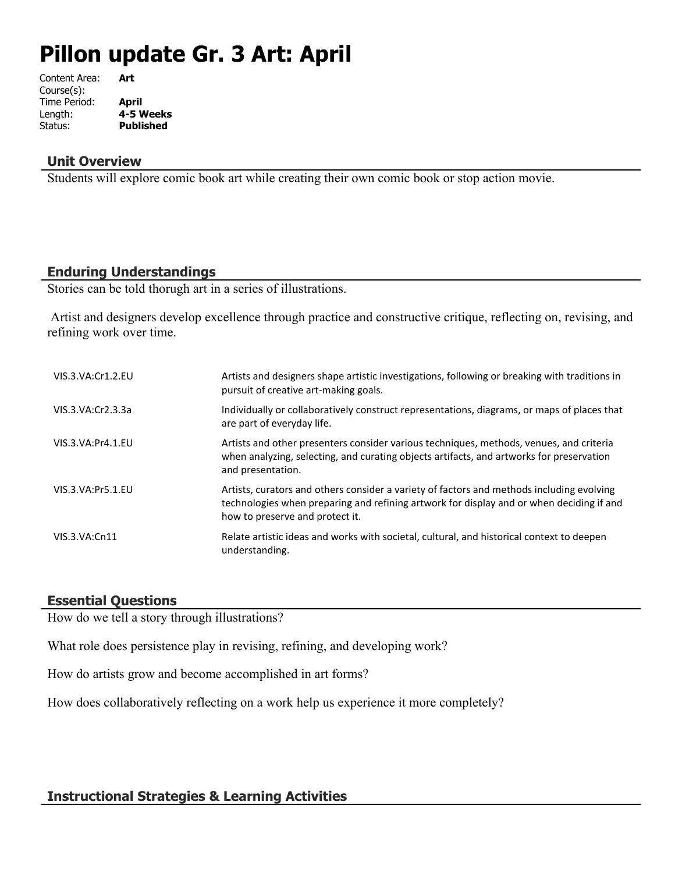# **Pillon update Gr. 3 Art: April**

| Art              |
|------------------|
|                  |
| April            |
| 4-5 Weeks        |
| <b>Published</b> |
|                  |

#### **Unit Overview**

Students will explore comic book art while creating their own comic book or stop action movie.

#### **Enduring Understandings**

Stories can be told thorugh art in a series of illustrations.

 Artist and designers develop excellence through practice and constructive critique, reflecting on, revising, and refining work over time.

| VIS.3.VA:Cr1.2.EU     | Artists and designers shape artistic investigations, following or breaking with traditions in<br>pursuit of creative art-making goals.                                                                                   |
|-----------------------|--------------------------------------------------------------------------------------------------------------------------------------------------------------------------------------------------------------------------|
| VIS.3. VA: Cr2. 3. 3a | Individually or collaboratively construct representations, diagrams, or maps of places that<br>are part of everyday life.                                                                                                |
| VIS.3.VA:Pr4.1.EU     | Artists and other presenters consider various techniques, methods, venues, and criteria<br>when analyzing, selecting, and curating objects artifacts, and artworks for preservation<br>and presentation.                 |
| VIS.3.VA:Pr5.1.EU     | Artists, curators and others consider a variety of factors and methods including evolving<br>technologies when preparing and refining artwork for display and or when deciding if and<br>how to preserve and protect it. |
| VIS.3.VA:Cn11         | Relate artistic ideas and works with societal, cultural, and historical context to deepen<br>understanding.                                                                                                              |

## **Essential Questions**

How do we tell a story through illustrations?

What role does persistence play in revising, refining, and developing work?

How do artists grow and become accomplished in art forms?

How does collaboratively reflecting on a work help us experience it more completely?

## **Instructional Strategies & Learning Activities**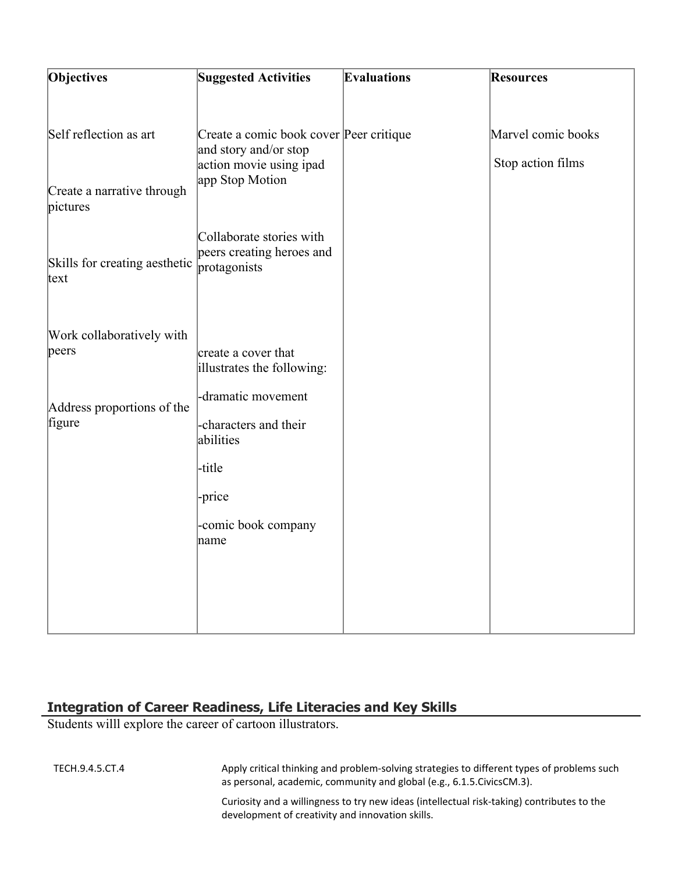| Objectives                                           | <b>Suggested Activities</b>                                                                                    | <b>Evaluations</b> | <b>Resources</b>                        |
|------------------------------------------------------|----------------------------------------------------------------------------------------------------------------|--------------------|-----------------------------------------|
| Self reflection as art<br>Create a narrative through | Create a comic book cover Peer critique<br>and story and/or stop<br>action movie using ipad<br>app Stop Motion |                    | Marvel comic books<br>Stop action films |
| pictures                                             |                                                                                                                |                    |                                         |
| Skills for creating aesthetic<br>text                | Collaborate stories with<br>peers creating heroes and<br>protagonists                                          |                    |                                         |
| Work collaboratively with<br>peers                   | create a cover that<br>illustrates the following:                                                              |                    |                                         |
| Address proportions of the<br>figure                 | -dramatic movement<br>-characters and their<br>abilities                                                       |                    |                                         |
|                                                      | -title                                                                                                         |                    |                                         |
|                                                      | -price<br>-comic book company<br>name                                                                          |                    |                                         |
|                                                      |                                                                                                                |                    |                                         |

## **Integration of Career Readiness, Life Literacies and Key Skills**

Students willl explore the career of cartoon illustrators.

TECH.9.4.5.CT.4 Apply critical thinking and problem-solving strategies to different types of problems such as personal, academic, community and global (e.g., 6.1.5.CivicsCM.3).

> Curiosity and a willingness to try new ideas (intellectual risk-taking) contributes to the development of creativity and innovation skills.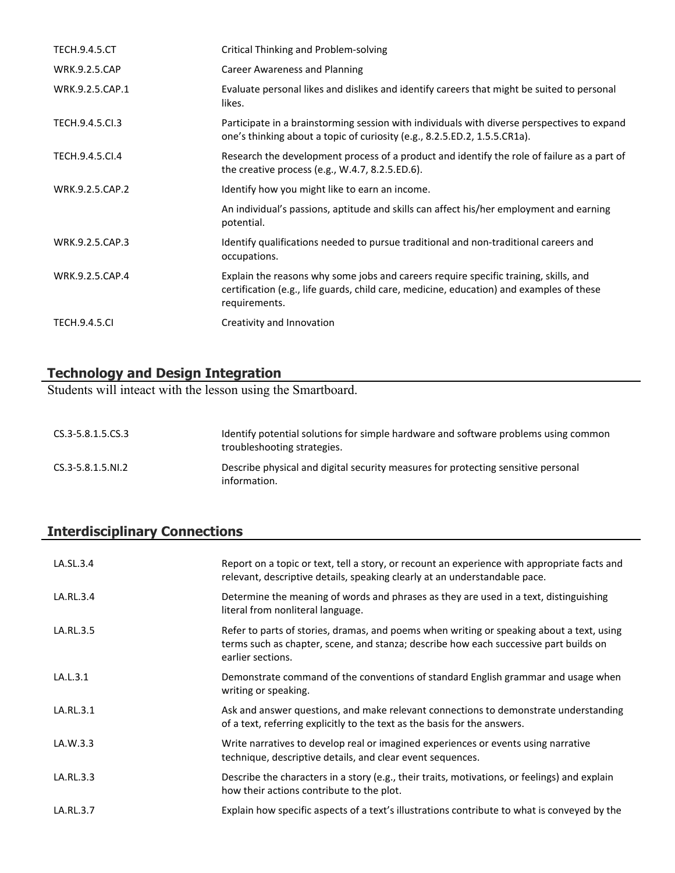| <b>TECH.9.4.5.CT</b> | Critical Thinking and Problem-solving                                                                                                                                                             |
|----------------------|---------------------------------------------------------------------------------------------------------------------------------------------------------------------------------------------------|
| <b>WRK.9.2.5.CAP</b> | Career Awareness and Planning                                                                                                                                                                     |
| WRK.9.2.5.CAP.1      | Evaluate personal likes and dislikes and identify careers that might be suited to personal<br>likes.                                                                                              |
| TECH.9.4.5.Cl.3      | Participate in a brainstorming session with individuals with diverse perspectives to expand<br>one's thinking about a topic of curiosity (e.g., 8.2.5.ED.2, 1.5.5.CR1a).                          |
| TECH.9.4.5.CI.4      | Research the development process of a product and identify the role of failure as a part of<br>the creative process (e.g., $W.4.7$ , 8.2.5.ED.6).                                                 |
| WRK.9.2.5.CAP.2      | Identify how you might like to earn an income.                                                                                                                                                    |
|                      | An individual's passions, aptitude and skills can affect his/her employment and earning<br>potential.                                                                                             |
| WRK.9.2.5.CAP.3      | Identify qualifications needed to pursue traditional and non-traditional careers and<br>occupations.                                                                                              |
| WRK.9.2.5.CAP.4      | Explain the reasons why some jobs and careers require specific training, skills, and<br>certification (e.g., life guards, child care, medicine, education) and examples of these<br>requirements. |
| <b>TECH.9.4.5.CI</b> | Creativity and Innovation                                                                                                                                                                         |

## **Technology and Design Integration**

Students will inteact with the lesson using the Smartboard.

| CS.3-5.8.1.5.CS.3 | Identify potential solutions for simple hardware and software problems using common<br>troubleshooting strategies. |
|-------------------|--------------------------------------------------------------------------------------------------------------------|
| CS.3-5.8.1.5.NI.2 | Describe physical and digital security measures for protecting sensitive personal<br>information.                  |

## **Interdisciplinary Connections**

| LA.SL.3.4 | Report on a topic or text, tell a story, or recount an experience with appropriate facts and<br>relevant, descriptive details, speaking clearly at an understandable pace.                              |
|-----------|---------------------------------------------------------------------------------------------------------------------------------------------------------------------------------------------------------|
| LA.RL.3.4 | Determine the meaning of words and phrases as they are used in a text, distinguishing<br>literal from nonliteral language.                                                                              |
| LA.RL.3.5 | Refer to parts of stories, dramas, and poems when writing or speaking about a text, using<br>terms such as chapter, scene, and stanza; describe how each successive part builds on<br>earlier sections. |
| LA.L.3.1  | Demonstrate command of the conventions of standard English grammar and usage when<br>writing or speaking.                                                                                               |
| LA.RL.3.1 | Ask and answer questions, and make relevant connections to demonstrate understanding<br>of a text, referring explicitly to the text as the basis for the answers.                                       |
| LA.W.3.3  | Write narratives to develop real or imagined experiences or events using narrative<br>technique, descriptive details, and clear event sequences.                                                        |
| LA.RL.3.3 | Describe the characters in a story (e.g., their traits, motivations, or feelings) and explain<br>how their actions contribute to the plot.                                                              |
| LA.RL.3.7 | Explain how specific aspects of a text's illustrations contribute to what is conveyed by the                                                                                                            |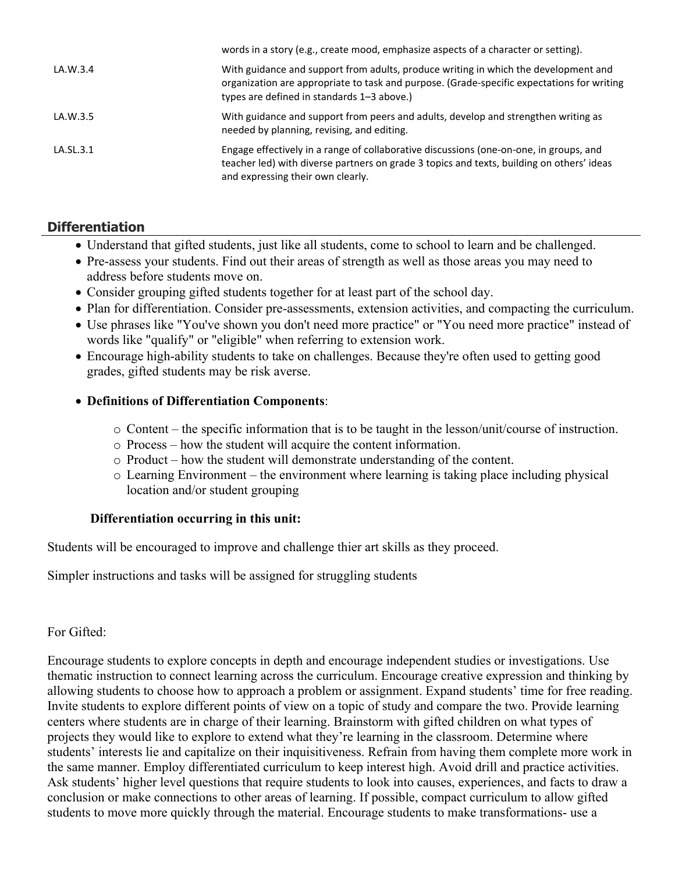|           | words in a story (e.g., create mood, emphasize aspects of a character or setting).                                                                                                                                              |
|-----------|---------------------------------------------------------------------------------------------------------------------------------------------------------------------------------------------------------------------------------|
| LA.W.3.4  | With guidance and support from adults, produce writing in which the development and<br>organization are appropriate to task and purpose. (Grade-specific expectations for writing<br>types are defined in standards 1–3 above.) |
| LA.W.3.5  | With guidance and support from peers and adults, develop and strengthen writing as<br>needed by planning, revising, and editing.                                                                                                |
| LA.SL.3.1 | Engage effectively in a range of collaborative discussions (one-on-one, in groups, and<br>teacher led) with diverse partners on grade 3 topics and texts, building on others' ideas<br>and expressing their own clearly.        |

## **Differentiation**

- Understand that gifted students, just like all students, come to school to learn and be challenged.
- Pre-assess your students. Find out their areas of strength as well as those areas you may need to address before students move on.
- Consider grouping gifted students together for at least part of the school day.
- Plan for differentiation. Consider pre-assessments, extension activities, and compacting the curriculum.
- Use phrases like "You've shown you don't need more practice" or "You need more practice" instead of words like "qualify" or "eligible" when referring to extension work.
- Encourage high-ability students to take on challenges. Because they're often used to getting good grades, gifted students may be risk averse.

## **Definitions of Differentiation Components**:

- o Content the specific information that is to be taught in the lesson/unit/course of instruction.
- o Process how the student will acquire the content information.
- o Product how the student will demonstrate understanding of the content.
- o Learning Environment the environment where learning is taking place including physical location and/or student grouping

## **Differentiation occurring in this unit:**

Students will be encouraged to improve and challenge thier art skills as they proceed.

Simpler instructions and tasks will be assigned for struggling students

## For Gifted:

Encourage students to explore concepts in depth and encourage independent studies or investigations. Use thematic instruction to connect learning across the curriculum. Encourage creative expression and thinking by allowing students to choose how to approach a problem or assignment. Expand students' time for free reading. Invite students to explore different points of view on a topic of study and compare the two. Provide learning centers where students are in charge of their learning. Brainstorm with gifted children on what types of projects they would like to explore to extend what they're learning in the classroom. Determine where students' interests lie and capitalize on their inquisitiveness. Refrain from having them complete more work in the same manner. Employ differentiated curriculum to keep interest high. Avoid drill and practice activities. Ask students' higher level questions that require students to look into causes, experiences, and facts to draw a conclusion or make connections to other areas of learning. If possible, compact curriculum to allow gifted students to move more quickly through the material. Encourage students to make transformations- use a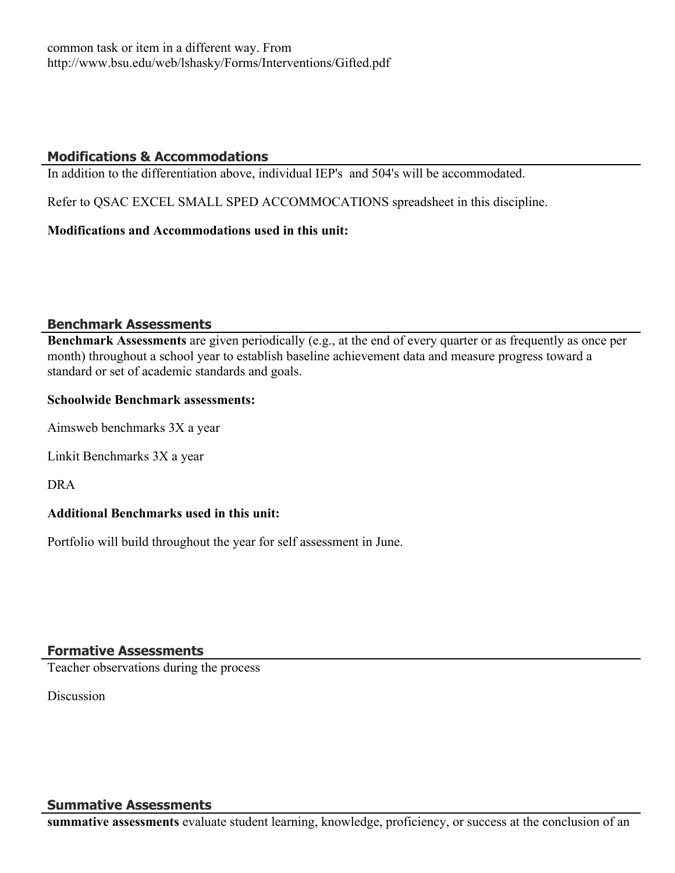common task or item in a different way. From http://www.bsu.edu/web/lshasky/Forms/Interventions/Gifted.pdf

## **Modifications & Accommodations**

In addition to the differentiation above, individual IEP's and 504's will be accommodated.

Refer to QSAC EXCEL SMALL SPED ACCOMMOCATIONS spreadsheet in this discipline.

## **Modifications and Accommodations used in this unit:**

## **Benchmark Assessments**

**Benchmark Assessments** are given periodically (e.g., at the end of every quarter or as frequently as once per month) throughout a school year to establish baseline achievement data and measure progress toward a standard or set of academic standards and goals.

#### **Schoolwide Benchmark assessments:**

Aimsweb benchmarks 3X a year

Linkit Benchmarks 3X a year

DRA

## **Additional Benchmarks used in this unit:**

Portfolio will build throughout the year for self assessment in June.

## **Formative Assessments**

Teacher observations during the process

**Discussion** 

## **Summative Assessments**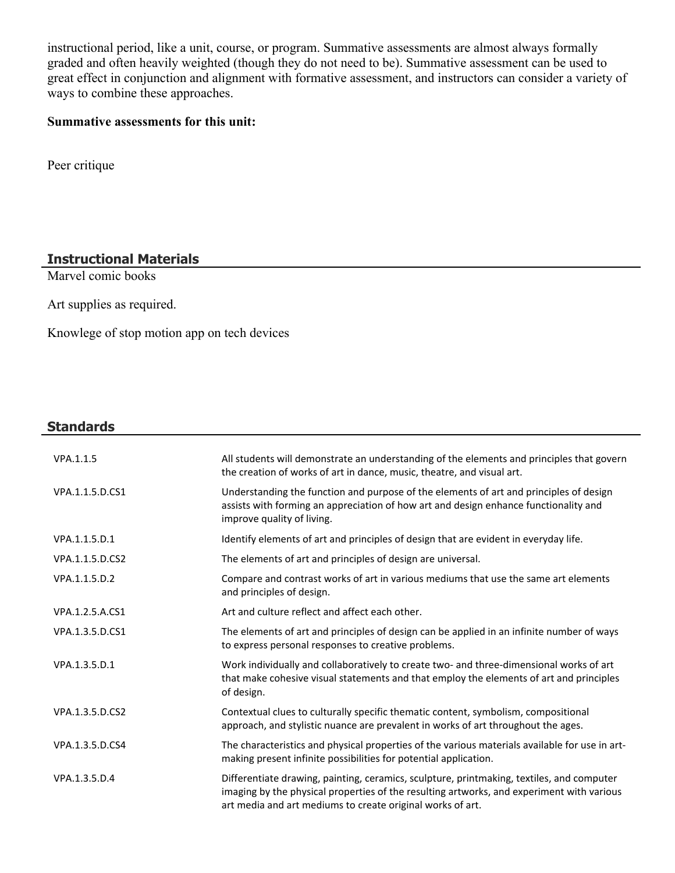instructional period, like a unit, course, or program. Summative assessments are almost always formally graded and often heavily weighted (though they do not need to be). Summative assessment can be used to great effect in conjunction and alignment with formative assessment, and instructors can consider a variety of ways to combine these approaches.

#### **Summative assessments for this unit:**

Peer critique

## **Instructional Materials**

Marvel comic books

Art supplies as required.

Knowlege of stop motion app on tech devices

## **Standards**

| VPA.1.1.5       | All students will demonstrate an understanding of the elements and principles that govern<br>the creation of works of art in dance, music, theatre, and visual art.                                                                                  |
|-----------------|------------------------------------------------------------------------------------------------------------------------------------------------------------------------------------------------------------------------------------------------------|
| VPA.1.1.5.D.CS1 | Understanding the function and purpose of the elements of art and principles of design<br>assists with forming an appreciation of how art and design enhance functionality and<br>improve quality of living.                                         |
| VPA.1.1.5.D.1   | Identify elements of art and principles of design that are evident in everyday life.                                                                                                                                                                 |
| VPA.1.1.5.D.CS2 | The elements of art and principles of design are universal.                                                                                                                                                                                          |
| VPA.1.1.5.D.2   | Compare and contrast works of art in various mediums that use the same art elements<br>and principles of design.                                                                                                                                     |
| VPA.1.2.5.A.CS1 | Art and culture reflect and affect each other.                                                                                                                                                                                                       |
| VPA.1.3.5.D.CS1 | The elements of art and principles of design can be applied in an infinite number of ways<br>to express personal responses to creative problems.                                                                                                     |
| VPA.1.3.5.D.1   | Work individually and collaboratively to create two- and three-dimensional works of art<br>that make cohesive visual statements and that employ the elements of art and principles<br>of design.                                                     |
| VPA.1.3.5.D.CS2 | Contextual clues to culturally specific thematic content, symbolism, compositional<br>approach, and stylistic nuance are prevalent in works of art throughout the ages.                                                                              |
| VPA.1.3.5.D.CS4 | The characteristics and physical properties of the various materials available for use in art-<br>making present infinite possibilities for potential application.                                                                                   |
| VPA.1.3.5.D.4   | Differentiate drawing, painting, ceramics, sculpture, printmaking, textiles, and computer<br>imaging by the physical properties of the resulting artworks, and experiment with various<br>art media and art mediums to create original works of art. |